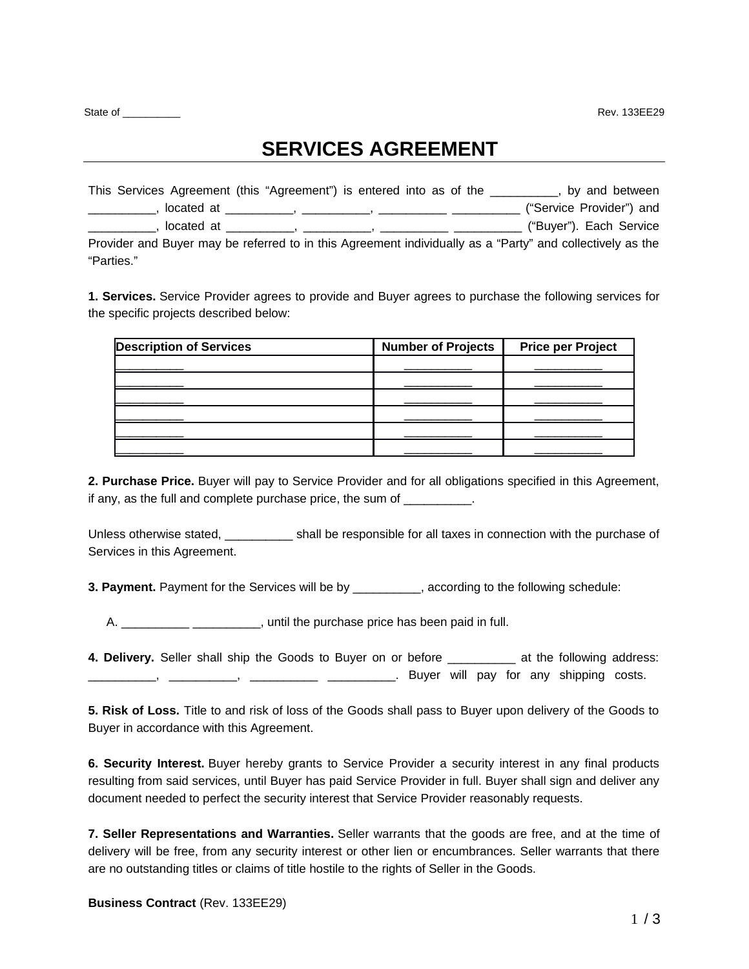State of **Example 20** Rev. 133EE29

# **SERVICES AGREEMENT**

| This Services Agreement (this "Agreement") is entered into as of the                                                                                                                                                                          | by and between           |  |
|-----------------------------------------------------------------------------------------------------------------------------------------------------------------------------------------------------------------------------------------------|--------------------------|--|
| located at<br>от применение в совмести в совмести в совмести в совмести в совмести в совмести в совмести в совмести в совмес<br>В совмести в совмести в совмести в совмести в совмести в совмести в совмести в совмести в совмести в совмести | ("Service Provider") and |  |
| located at<br><u> 1989 - Johann Stein, syntysk politiker († 1908)</u>                                                                                                                                                                         | ("Buyer"). Each Service  |  |
| Provider and Buyer may be referred to in this Agreement individually as a "Party" and collectively as the                                                                                                                                     |                          |  |
| "Parties."                                                                                                                                                                                                                                    |                          |  |

**1. Services.** Service Provider agrees to provide and Buyer agrees to purchase the following services for the specific projects described below:

| <b>Description of Services</b> | <b>Number of Projects</b> | <b>Price per Project</b> |
|--------------------------------|---------------------------|--------------------------|
|                                |                           |                          |
|                                |                           |                          |
|                                |                           |                          |
|                                |                           |                          |
|                                |                           |                          |
|                                |                           |                          |

**2. Purchase Price.** Buyer will pay to Service Provider and for all obligations specified in this Agreement, if any, as the full and complete purchase price, the sum of

Unless otherwise stated, \_\_\_\_\_\_\_\_\_\_ shall be responsible for all taxes in connection with the purchase of Services in this Agreement.

**3. Payment.** Payment for the Services will be by **according to the following schedule:** 

A. \_\_\_\_\_\_\_\_\_\_\_\_\_\_\_\_\_\_\_\_\_\_\_\_\_\_, until the purchase price has been paid in full.

**4. Delivery.** Seller shall ship the Goods to Buyer on or before \_\_\_\_\_\_\_\_\_\_ at the following address: -, \_\_\_\_\_\_\_\_\_\_, \_\_\_\_\_\_\_\_\_\_\_ \_\_\_\_\_\_\_\_\_. Buyer will pay for any shipping costs.

**5. Risk of Loss.** Title to and risk of loss of the Goods shall pass to Buyer upon delivery of the Goods to Buyer in accordance with this Agreement.

**6. Security Interest.** Buyer hereby grants to Service Provider a security interest in any final products resulting from said services, until Buyer has paid Service Provider in full. Buyer shall sign and deliver any document needed to perfect the security interest that Service Provider reasonably requests.

**7. Seller Representations and Warranties.** Seller warrants that the goods are free, and at the time of delivery will be free, from any security interest or other lien or encumbrances. Seller warrants that there are no outstanding titles or claims of title hostile to the rights of Seller in the Goods.

**Business Contract** (Rev. 133EE29)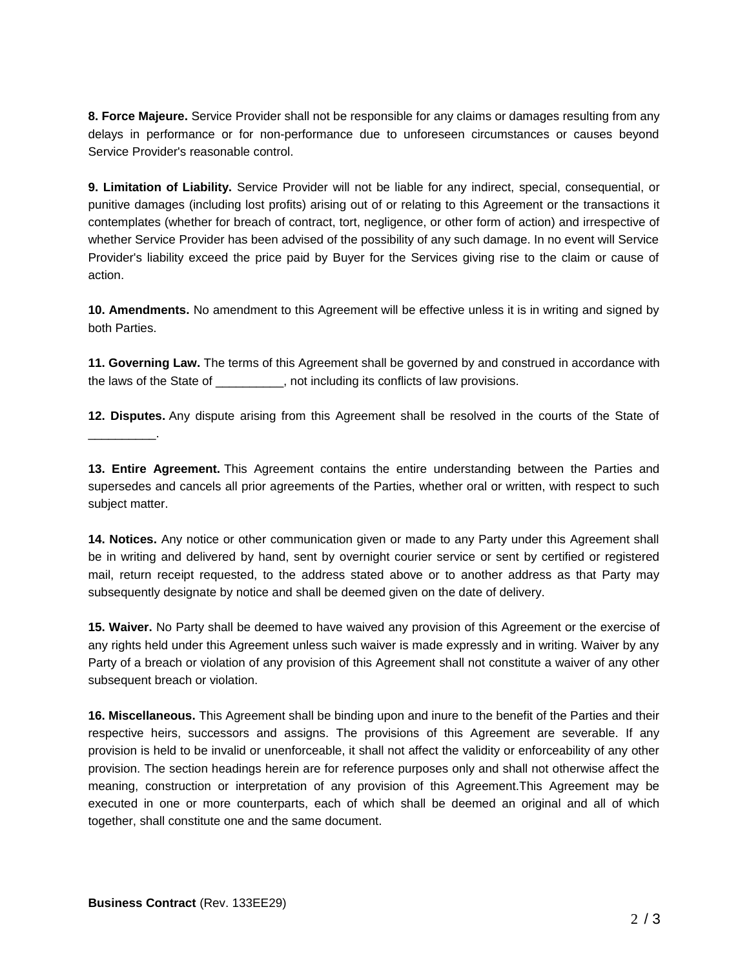**8. Force Majeure.** Service Provider shall not be responsible for any claims or damages resulting from any delays in performance or for non-performance due to unforeseen circumstances or causes beyond Service Provider's reasonable control.

**9. Limitation of Liability.** Service Provider will not be liable for any indirect, special, consequential, or punitive damages (including lost profits) arising out of or relating to this Agreement or the transactions it contemplates (whether for breach of contract, tort, negligence, or other form of action) and irrespective of whether Service Provider has been advised of the possibility of any such damage. In no event will Service Provider's liability exceed the price paid by Buyer for the Services giving rise to the claim or cause of action.

**10. Amendments.** No amendment to this Agreement will be effective unless it is in writing and signed by both Parties.

**11. Governing Law.** The terms of this Agreement shall be governed by and construed in accordance with the laws of the State of \_\_\_\_\_\_\_\_\_\_, not including its conflicts of law provisions.

**12. Disputes.** Any dispute arising from this Agreement shall be resolved in the courts of the State of

**13. Entire Agreement.** This Agreement contains the entire understanding between the Parties and supersedes and cancels all prior agreements of the Parties, whether oral or written, with respect to such subject matter.

**14. Notices.** Any notice or other communication given or made to any Party under this Agreement shall be in writing and delivered by hand, sent by overnight courier service or sent by certified or registered mail, return receipt requested, to the address stated above or to another address as that Party may subsequently designate by notice and shall be deemed given on the date of delivery.

**15. Waiver.** No Party shall be deemed to have waived any provision of this Agreement or the exercise of any rights held under this Agreement unless such waiver is made expressly and in writing. Waiver by any Party of a breach or violation of any provision of this Agreement shall not constitute a waiver of any other subsequent breach or violation.

**16. Miscellaneous.** This Agreement shall be binding upon and inure to the benefit of the Parties and their respective heirs, successors and assigns. The provisions of this Agreement are severable. If any provision is held to be invalid or unenforceable, it shall not affect the validity or enforceability of any other provision. The section headings herein are for reference purposes only and shall not otherwise affect the meaning, construction or interpretation of any provision of this Agreement.This Agreement may be executed in one or more counterparts, each of which shall be deemed an original and all of which together, shall constitute one and the same document.

 $\overline{\phantom{a}}$  ,  $\overline{\phantom{a}}$  ,  $\overline{\phantom{a}}$  ,  $\overline{\phantom{a}}$  ,  $\overline{\phantom{a}}$  ,  $\overline{\phantom{a}}$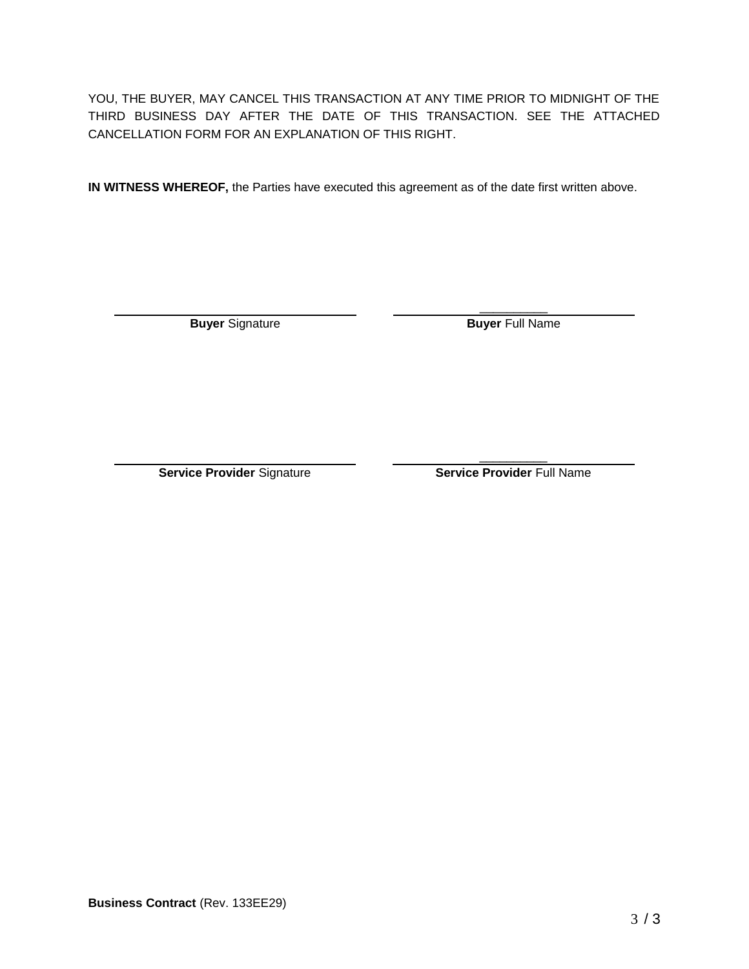YOU, THE BUYER, MAY CANCEL THIS TRANSACTION AT ANY TIME PRIOR TO MIDNIGHT OF THE THIRD BUSINESS DAY AFTER THE DATE OF THIS TRANSACTION. SEE THE ATTACHED CANCELLATION FORM FOR AN EXPLANATION OF THIS RIGHT.

**IN WITNESS WHEREOF,** the Parties have executed this agreement as of the date first written above.

 $\mathcal{L}_\text{max}$ **Buyer** Signature **Buyer** Full Name

 $\mathcal{L}=\mathcal{L}^{\mathcal{L}}$ **Service Provider** Signature **Service Provider** Full Name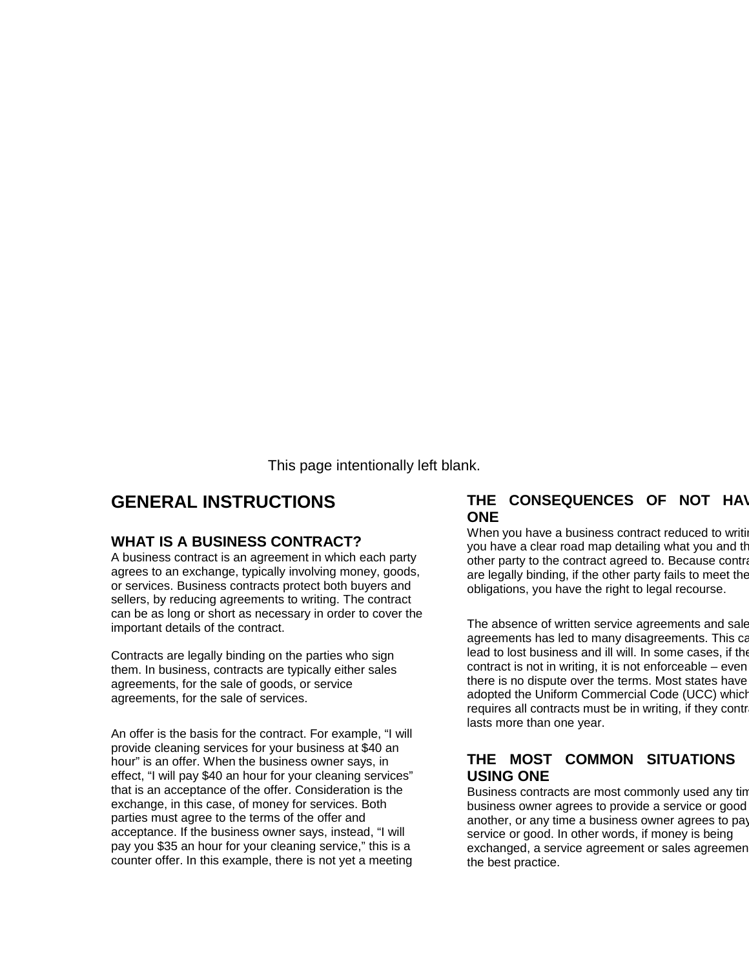This page intentionally left blank.

## **GENERAL INSTRUCTIONS**

#### **WHAT IS A BUSINESS CONTRACT?**

A business contract is an agreement in which each party agrees to an exchange, typically involving money, goods, or services. Business contracts protect both buyers and sellers, by reducing agreements to writing. The contract can be as long or short as necessary in order to cover the important details of the contract.

Contracts are legally binding on the parties who sign them. In business, contracts are typically either sales agreements, for the sale of goods, or service agreements, for the sale of services.

An offer is the basis for the contract. For example, "I will provide cleaning services for your business at \$40 an hour" is an offer. When the business owner says, in effect, "I will pay \$40 an hour for your cleaning services" that is an acceptance of the offer. Consideration is the exchange, in this case, of money for services. Both parties must agree to the terms of the offer and acceptance. If the business owner says, instead, "I will pay you \$35 an hour for your cleaning service," this is a counter offer. In this example, there is not yet a meeting

#### **THE CONSEQUENCES OF NOT HAV ONE**

When you have a business contract reduced to writing you have a clear road map detailing what you and the other party to the contract agreed to. Because contra are legally binding, if the other party fails to meet the obligations, you have the right to legal recourse.

The absence of written service agreements and sale agreements has led to many disagreements. This ca lead to lost business and ill will. In some cases, if the contract is not in writing, it is not enforceable  $-$  even there is no dispute over the terms. Most states have adopted the Uniform Commercial Code (UCC) which requires all contracts must be in writing, if they contracts lasts more than one year.

### **THE MOST COMMON SITUATIONS USING ONE**

Business contracts are most commonly used any tin business owner agrees to provide a service or good another, or any time a business owner agrees to pay service or good. In other words, if money is being exchanged, a service agreement or sales agreement the best practice.